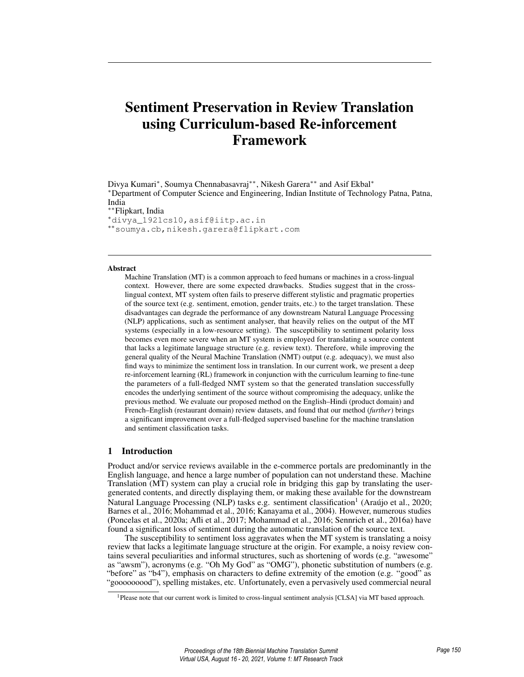# Sentiment Preservation in Review Translation using Curriculum-based Re-inforcement Framework

Divya Kumari<sup>∗</sup> , Soumya Chennabasavraj∗∗, Nikesh Garera∗∗ and Asif Ekbal<sup>∗</sup> <sup>∗</sup>Department of Computer Science and Engineering, Indian Institute of Technology Patna, Patna, India ∗∗Flipkart, India

<sup>∗</sup>divya\_1921cs10,asif@iitp.ac.in ∗∗soumya.cb,nikesh.garera@flipkart.com

#### Abstract

Machine Translation (MT) is a common approach to feed humans or machines in a cross-lingual context. However, there are some expected drawbacks. Studies suggest that in the crosslingual context, MT system often fails to preserve different stylistic and pragmatic properties of the source text (e.g. sentiment, emotion, gender traits, etc.) to the target translation. These disadvantages can degrade the performance of any downstream Natural Language Processing (NLP) applications, such as sentiment analyser, that heavily relies on the output of the MT systems (especially in a low-resource setting). The susceptibility to sentiment polarity loss becomes even more severe when an MT system is employed for translating a source content that lacks a legitimate language structure (e.g. review text). Therefore, while improving the general quality of the Neural Machine Translation (NMT) output (e.g. adequacy), we must also find ways to minimize the sentiment loss in translation. In our current work, we present a deep re-inforcement learning (RL) framework in conjunction with the curriculum learning to fine-tune the parameters of a full-fledged NMT system so that the generated translation successfully encodes the underlying sentiment of the source without compromising the adequacy, unlike the previous method. We evaluate our proposed method on the English–Hindi (product domain) and French–English (restaurant domain) review datasets, and found that our method (*further*) brings a significant improvement over a full-fledged supervised baseline for the machine translation and sentiment classification tasks.

# 1 Introduction

Product and/or service reviews available in the e-commerce portals are predominantly in the English language, and hence a large number of population can not understand these. Machine Translation (MT) system can play a crucial role in bridging this gap by translating the usergenerated contents, and directly displaying them, or making these available for the downstream Natural Language Processing (NLP) tasks e.g. sentiment classification<sup>1</sup> (Araújo et al., 2020; Barnes et al., 2016; Mohammad et al., 2016; Kanayama et al., 2004). However, numerous studies (Poncelas et al., 2020a; Afli et al., 2017; Mohammad et al., 2016; Sennrich et al., 2016a) have found a significant loss of sentiment during the automatic translation of the source text.

The susceptibility to sentiment loss aggravates when the MT system is translating a noisy review that lacks a legitimate language structure at the origin. For example, a noisy review contains several peculiarities and informal structures, such as shortening of words (e.g. "awesome" as "awsm"), acronyms (e.g. "Oh My God" as "OMG"), phonetic substitution of numbers (e.g. "before" as "b4"), emphasis on characters to define extremity of the emotion (e.g. "good" as "gooooooood"), spelling mistakes, etc. Unfortunately, even a pervasively used commercial neural

<sup>1</sup>Please note that our current work is limited to cross-lingual sentiment analysis [CLSA] via MT based approach.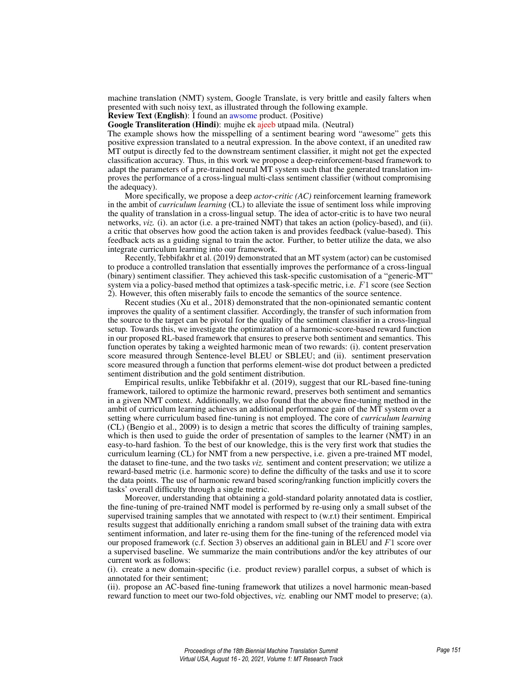machine translation (NMT) system, Google Translate, is very brittle and easily falters when presented with such noisy text, as illustrated through the following example.

Review Text (English): I found an awsome product. (Positive)

Google Transliteration (Hindi): mujhe ek ajeeb utpaad mila. (Neutral)

The example shows how the misspelling of a sentiment bearing word "awesome" gets this positive expression translated to a neutral expression. In the above context, if an unedited raw MT output is directly fed to the downstream sentiment classifier, it might not get the expected classification accuracy. Thus, in this work we propose a deep-reinforcement-based framework to adapt the parameters of a pre-trained neural MT system such that the generated translation improves the performance of a cross-lingual multi-class sentiment classifier (without compromising the adequacy).

More specifically, we propose a deep *actor-critic (AC)* reinforcement learning framework in the ambit of *curriculum learning* (CL) to alleviate the issue of sentiment loss while improving the quality of translation in a cross-lingual setup. The idea of actor-critic is to have two neural networks, *viz.* (i). an actor (i.e. a pre-trained NMT) that takes an action (policy-based), and (ii). a critic that observes how good the action taken is and provides feedback (value-based). This feedback acts as a guiding signal to train the actor. Further, to better utilize the data, we also integrate curriculum learning into our framework.

Recently, Tebbifakhr et al. (2019) demonstrated that an MT system (actor) can be customised to produce a controlled translation that essentially improves the performance of a cross-lingual (binary) sentiment classifier. They achieved this task-specific customisation of a "generic-MT" system via a policy-based method that optimizes a task-specific metric, i.e. F1 score (see Section 2). However, this often miserably fails to encode the semantics of the source sentence.

Recent studies (Xu et al., 2018) demonstrated that the non-opinionated semantic content improves the quality of a sentiment classifier. Accordingly, the transfer of such information from the source to the target can be pivotal for the quality of the sentiment classifier in a cross-lingual setup. Towards this, we investigate the optimization of a harmonic-score-based reward function in our proposed RL-based framework that ensures to preserve both sentiment and semantics. This function operates by taking a weighted harmonic mean of two rewards: (i). content preservation score measured through Sentence-level BLEU or SBLEU; and (ii). sentiment preservation score measured through a function that performs element-wise dot product between a predicted sentiment distribution and the gold sentiment distribution.

Empirical results, unlike Tebbifakhr et al. (2019), suggest that our RL-based fine-tuning framework, tailored to optimize the harmonic reward, preserves both sentiment and semantics in a given NMT context. Additionally, we also found that the above fine-tuning method in the ambit of curriculum learning achieves an additional performance gain of the MT system over a setting where curriculum based fine-tuning is not employed. The core of *curriculum learning* (CL) (Bengio et al., 2009) is to design a metric that scores the difficulty of training samples, which is then used to guide the order of presentation of samples to the learner (NMT) in an easy-to-hard fashion. To the best of our knowledge, this is the very first work that studies the curriculum learning (CL) for NMT from a new perspective, i.e. given a pre-trained MT model, the dataset to fine-tune, and the two tasks *viz.* sentiment and content preservation; we utilize a reward-based metric (i.e. harmonic score) to define the difficulty of the tasks and use it to score the data points. The use of harmonic reward based scoring/ranking function implicitly covers the tasks' overall difficulty through a single metric.

Moreover, understanding that obtaining a gold-standard polarity annotated data is costlier, the fine-tuning of pre-trained NMT model is performed by re-using only a small subset of the supervised training samples that we annotated with respect to (w.r.t) their sentiment. Empirical results suggest that additionally enriching a random small subset of the training data with extra sentiment information, and later re-using them for the fine-tuning of the referenced model via our proposed framework (c.f. Section 3) observes an additional gain in BLEU and F1 score over a supervised baseline. We summarize the main contributions and/or the key attributes of our current work as follows:

(i). create a new domain-specific (i.e. product review) parallel corpus, a subset of which is annotated for their sentiment;

(ii). propose an AC-based fine-tuning framework that utilizes a novel harmonic mean-based reward function to meet our two-fold objectives, *viz.* enabling our NMT model to preserve; (a).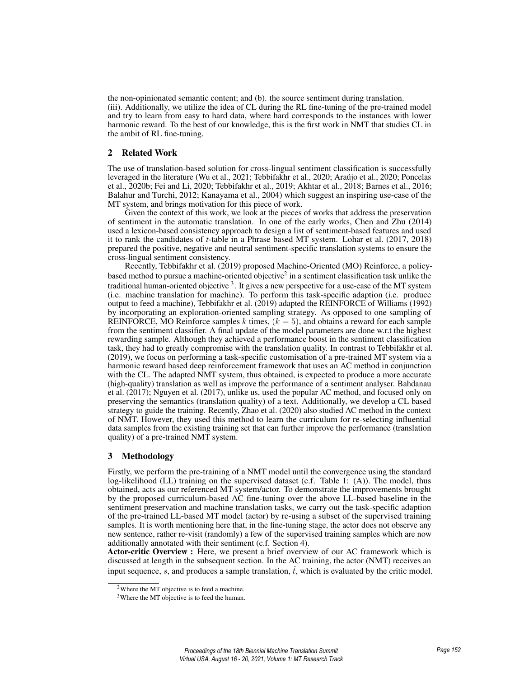the non-opinionated semantic content; and (b). the source sentiment during translation. (iii). Additionally, we utilize the idea of CL during the RL fine-tuning of the pre-trained model and try to learn from easy to hard data, where hard corresponds to the instances with lower harmonic reward. To the best of our knowledge, this is the first work in NMT that studies CL in the ambit of RL fine-tuning.

# 2 Related Work

The use of translation-based solution for cross-lingual sentiment classification is successfully leveraged in the literature (Wu et al., 2021; Tebbifakhr et al., 2020; Araújo et al., 2020; Poncelas et al., 2020b; Fei and Li, 2020; Tebbifakhr et al., 2019; Akhtar et al., 2018; Barnes et al., 2016; Balahur and Turchi, 2012; Kanayama et al., 2004) which suggest an inspiring use-case of the MT system, and brings motivation for this piece of work.

Given the context of this work, we look at the pieces of works that address the preservation of sentiment in the automatic translation. In one of the early works, Chen and Zhu (2014) used a lexicon-based consistency approach to design a list of sentiment-based features and used it to rank the candidates of *t*-table in a Phrase based MT system. Lohar et al. (2017, 2018) prepared the positive, negative and neutral sentiment-specific translation systems to ensure the cross-lingual sentiment consistency.

Recently, Tebbifakhr et al. (2019) proposed Machine-Oriented (MO) Reinforce, a policybased method to pursue a machine-oriented objective<sup>2</sup> in a sentiment classification task unlike the traditional human-oriented objective <sup>3</sup>. It gives a new perspective for a use-case of the MT system (i.e. machine translation for machine). To perform this task-specific adaption (i.e. produce output to feed a machine), Tebbifakhr et al. (2019) adapted the REINFORCE of Williams (1992) by incorporating an exploration-oriented sampling strategy. As opposed to one sampling of REINFORCE, MO Reinforce samples k times,  $(k = 5)$ , and obtains a reward for each sample from the sentiment classifier. A final update of the model parameters are done w.r.t the highest rewarding sample. Although they achieved a performance boost in the sentiment classification task, they had to greatly compromise with the translation quality. In contrast to Tebbifakhr et al. (2019), we focus on performing a task-specific customisation of a pre-trained MT system via a harmonic reward based deep reinforcement framework that uses an AC method in conjunction with the CL. The adapted NMT system, thus obtained, is expected to produce a more accurate (high-quality) translation as well as improve the performance of a sentiment analyser. Bahdanau et al. (2017); Nguyen et al. (2017), unlike us, used the popular AC method, and focused only on preserving the semantics (translation quality) of a text. Additionally, we develop a CL based strategy to guide the training. Recently, Zhao et al. (2020) also studied AC method in the context of NMT. However, they used this method to learn the curriculum for re-selecting influential data samples from the existing training set that can further improve the performance (translation quality) of a pre-trained NMT system.

# 3 Methodology

Firstly, we perform the pre-training of a NMT model until the convergence using the standard log-likelihood (LL) training on the supervised dataset (c.f. Table 1: (A)). The model, thus obtained, acts as our referenced MT system/actor. To demonstrate the improvements brought by the proposed curriculum-based AC fine-tuning over the above LL-based baseline in the sentiment preservation and machine translation tasks, we carry out the task-specific adaption of the pre-trained LL-based MT model (actor) by re-using a subset of the supervised training samples. It is worth mentioning here that, in the fine-tuning stage, the actor does not observe any new sentence, rather re-visit (randomly) a few of the supervised training samples which are now additionally annotated with their sentiment (c.f. Section 4).

Actor-critic Overview : Here, we present a brief overview of our AC framework which is discussed at length in the subsequent section. In the AC training, the actor (NMT) receives an input sequence, s, and produces a sample translation,  $\hat{t}$ , which is evaluated by the critic model.

<sup>&</sup>lt;sup>2</sup>Where the MT objective is to feed a machine.

<sup>&</sup>lt;sup>3</sup>Where the MT objective is to feed the human.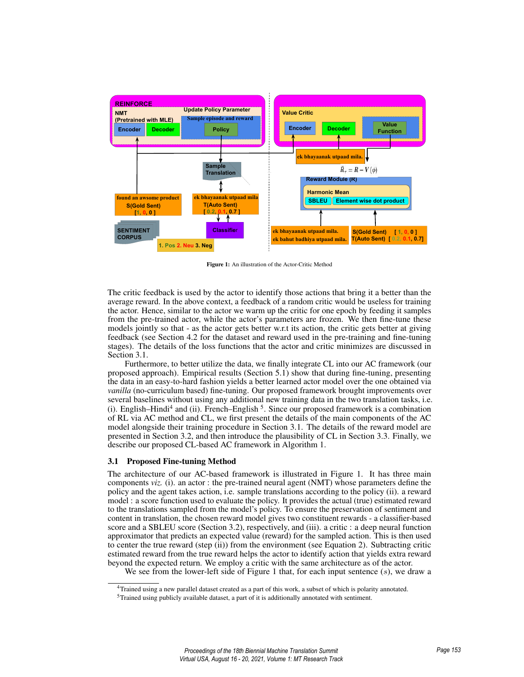

Figure 1: An illustration of the Actor-Critic Method

The critic feedback is used by the actor to identify those actions that bring it a better than the average reward. In the above context, a feedback of a random critic would be useless for training the actor. Hence, similar to the actor we warm up the critic for one epoch by feeding it samples from the pre-trained actor, while the actor's parameters are frozen. We then fine-tune these models jointly so that - as the actor gets better w.r.t its action, the critic gets better at giving feedback (see Section 4.2 for the dataset and reward used in the pre-training and fine-tuning stages). The details of the loss functions that the actor and critic minimizes are discussed in Section 3.1.

Furthermore, to better utilize the data, we finally integrate CL into our AC framework (our proposed approach). Empirical results (Section 5.1) show that during fine-tuning, presenting the data in an easy-to-hard fashion yields a better learned actor model over the one obtained via *vanilla* (no-curriculum based) fine-tuning. Our proposed framework brought improvements over several baselines without using any additional new training data in the two translation tasks, i.e. (i). English–Hindi<sup>4</sup> and (ii). French–English<sup>5</sup>. Since our proposed framework is a combination of RL via AC method and CL, we first present the details of the main components of the AC model alongside their training procedure in Section 3.1. The details of the reward model are presented in Section 3.2, and then introduce the plausibility of CL in Section 3.3. Finally, we describe our proposed CL-based AC framework in Algorithm 1.

## 3.1 Proposed Fine-tuning Method

The architecture of our AC-based framework is illustrated in Figure 1. It has three main components *viz.* (i). an actor : the pre-trained neural agent (NMT) whose parameters define the policy and the agent takes action, i.e. sample translations according to the policy (ii). a reward model : a score function used to evaluate the policy. It provides the actual (true) estimated reward to the translations sampled from the model's policy. To ensure the preservation of sentiment and content in translation, the chosen reward model gives two constituent rewards - a classifier-based score and a SBLEU score (Section 3.2), respectively, and (iii). a critic : a deep neural function approximator that predicts an expected value (reward) for the sampled action. This is then used to center the true reward (step (ii)) from the environment (see Equation 2). Subtracting critic estimated reward from the true reward helps the actor to identify action that yields extra reward beyond the expected return. We employ a critic with the same architecture as of the actor.

We see from the lower-left side of Figure 1 that, for each input sentence  $(s)$ , we draw a

<sup>4</sup>Trained using a new parallel dataset created as a part of this work, a subset of which is polarity annotated.

<sup>5</sup>Trained using publicly available dataset, a part of it is additionally annotated with sentiment.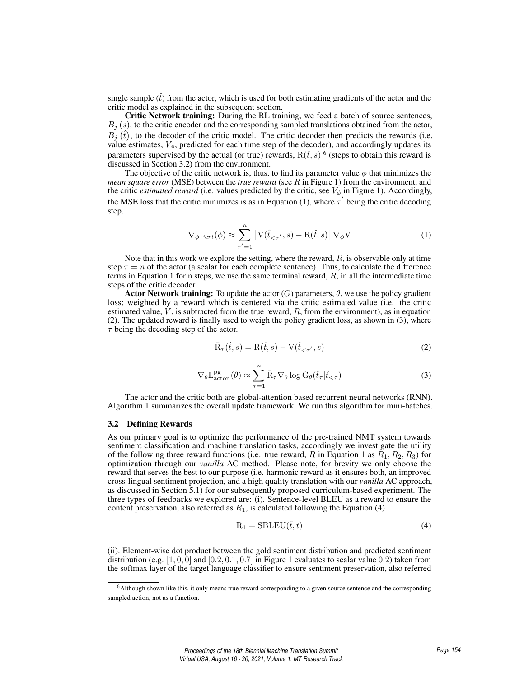single sample  $(\hat{t})$  from the actor, which is used for both estimating gradients of the actor and the critic model as explained in the subsequent section.

Critic Network training: During the RL training, we feed a batch of source sentences,  $B_j(s)$ , to the critic encoder and the corresponding sampled translations obtained from the actor,  $B_j(\hat{t})$ , to the decoder of the critic model. The critic decoder then predicts the rewards (i.e. value estimates,  $V_{\phi}$ , predicted for each time step of the decoder), and accordingly updates its parameters supervised by the actual (or true) rewards,  $R(\hat{t}, s)$  <sup>6</sup> (steps to obtain this reward is discussed in Section 3.2) from the environment.

The objective of the critic network is, thus, to find its parameter value  $\phi$  that minimizes the *mean square error* (MSE) between the *true reward* (see R in Figure 1) from the environment, and the critic *estimated reward* (i.e. values predicted by the critic, see  $V_{\phi}$  in Figure 1). Accordingly, the MSE loss that the critic minimizes is as in Equation (1), where  $\tau'$  being the critic decoding step.

$$
\nabla_{\phi} \mathcal{L}_{crt}(\phi) \approx \sum_{\tau'=1}^{n} \left[ \mathcal{V}(\hat{t}_{<\tau'}, s) - \mathcal{R}(\hat{t}, s) \right] \nabla_{\phi} \mathcal{V}
$$
(1)

Note that in this work we explore the setting, where the reward,  $R$ , is observable only at time step  $\tau = n$  of the actor (a scalar for each complete sentence). Thus, to calculate the difference terms in Equation 1 for n steps, we use the same terminal reward,  $R$ , in all the intermediate time steps of the critic decoder.

**Actor Network training:** To update the actor (G) parameters,  $\theta$ , we use the policy gradient loss; weighted by a reward which is centered via the critic estimated value (i.e. the critic estimated value,  $\dot{V}$ , is subtracted from the true reward,  $R$ , from the environment), as in equation (2). The updated reward is finally used to weigh the policy gradient loss, as shown in (3), where  $\tau$  being the decoding step of the actor.

$$
\bar{\mathbf{R}}_{\tau}(\hat{t},s) = \mathbf{R}(\hat{t},s) - \mathbf{V}(\hat{t}_{\leq \tau'},s)
$$
\n(2)

$$
\nabla_{\theta} L_{\text{actor}}^{\text{pg}}(\theta) \approx \sum_{\tau=1}^{n} \bar{R}_{\tau} \nabla_{\theta} \log G_{\theta}(\hat{t}_{\tau} | \hat{t}_{<\tau})
$$
(3)

The actor and the critic both are global-attention based recurrent neural networks (RNN). Algorithm 1 summarizes the overall update framework. We run this algorithm for mini-batches.

# 3.2 Defining Rewards

As our primary goal is to optimize the performance of the pre-trained NMT system towards sentiment classification and machine translation tasks, accordingly we investigate the utility of the following three reward functions (i.e. true reward, R in Equation 1 as  $R_1, R_2, R_3$ ) for optimization through our *vanilla* AC method. Please note, for brevity we only choose the reward that serves the best to our purpose (i.e. harmonic reward as it ensures both, an improved cross-lingual sentiment projection, and a high quality translation with our *vanilla* AC approach, as discussed in Section 5.1) for our subsequently proposed curriculum-based experiment. The three types of feedbacks we explored are: (i). Sentence-level BLEU as a reward to ensure the content preservation, also referred as  $R_1$ , is calculated following the Equation (4)

$$
R_1 = SBLEU(\hat{t}, t)
$$
\n(4)

(ii). Element-wise dot product between the gold sentiment distribution and predicted sentiment distribution (e.g.  $[1, 0, 0]$  and  $[0.2, 0.1, 0.7]$  in Figure 1 evaluates to scalar value 0.2) taken from the softmax layer of the target language classifier to ensure sentiment preservation, also referred

<sup>6</sup>Although shown like this, it only means true reward corresponding to a given source sentence and the corresponding sampled action, not as a function.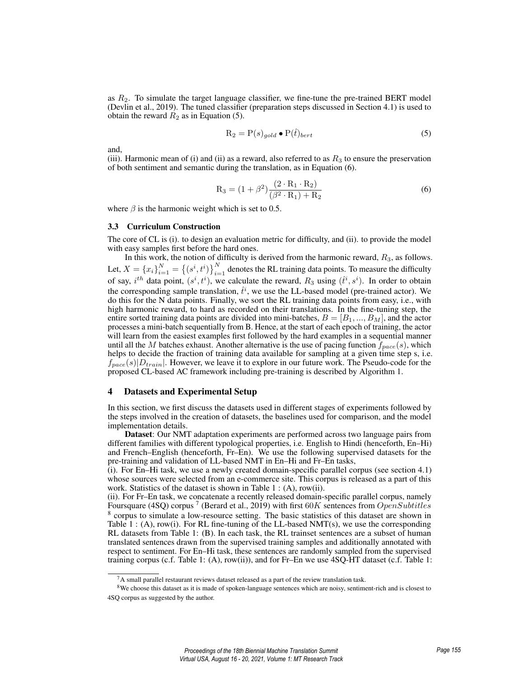as  $R<sub>2</sub>$ . To simulate the target language classifier, we fine-tune the pre-trained BERT model (Devlin et al., 2019). The tuned classifier (preparation steps discussed in Section 4.1) is used to obtain the reward  $R_2$  as in Equation (5).

$$
R_2 = P(s)_{gold} \bullet P(\hat{t})_{bert} \tag{5}
$$

and,

(iii). Harmonic mean of (i) and (ii) as a reward, also referred to as  $R_3$  to ensure the preservation of both sentiment and semantic during the translation, as in Equation (6).

$$
R_3 = (1 + \beta^2) \frac{(2 \cdot R_1 \cdot R_2)}{(\beta^2 \cdot R_1) + R_2}
$$
 (6)

where  $\beta$  is the harmonic weight which is set to 0.5.

#### 3.3 Curriculum Construction

The core of CL is (i). to design an evaluation metric for difficulty, and (ii). to provide the model with easy samples first before the hard ones.

In this work, the notion of difficulty is derived from the harmonic reward,  $R_3$ , as follows. Let,  $X = \{x_i\}_{i=1}^N = \{(s^i, t^i)\}_{i=1}^N$  denotes the RL training data points. To measure the difficulty of say,  $i^{th}$  data point,  $(s^i, t^i)$ , we calculate the reward,  $R_3$  using  $(\hat{t}^i, s^i)$ . In order to obtain the corresponding sample translation,  $\hat{t}^i$ , we use the LL-based model (pre-trained actor). We do this for the N data points. Finally, we sort the RL training data points from easy, i.e., with high harmonic reward, to hard as recorded on their translations. In the fine-tuning step, the entire sorted training data points are divided into mini-batches,  $B = [B_1, ..., B_M]$ , and the actor processes a mini-batch sequentially from B. Hence, at the start of each epoch of training, the actor will learn from the easiest examples first followed by the hard examples in a sequential manner until all the M batches exhaust. Another alternative is the use of pacing function  $f_{pace}(s)$ , which helps to decide the fraction of training data available for sampling at a given time step s, i.e.  $f_{pace}(s)|D_{train}|$ . However, we leave it to explore in our future work. The Pseudo-code for the proposed CL-based AC framework including pre-training is described by Algorithm 1.

## 4 Datasets and Experimental Setup

In this section, we first discuss the datasets used in different stages of experiments followed by the steps involved in the creation of datasets, the baselines used for comparison, and the model implementation details.

Dataset: Our NMT adaptation experiments are performed across two language pairs from different families with different typological properties, i.e. English to Hindi (henceforth, En–Hi) and French–English (henceforth, Fr–En). We use the following supervised datasets for the pre-training and validation of LL-based NMT in En–Hi and Fr–En tasks,

(i). For En–Hi task, we use a newly created domain-specific parallel corpus (see section 4.1) whose sources were selected from an e-commerce site. This corpus is released as a part of this work. Statistics of the dataset is shown in Table 1 : (A), row(ii).

(ii). For Fr–En task, we concatenate a recently released domain-specific parallel corpus, namely Foursquare (4SQ) corpus <sup>7</sup> (Berard et al., 2019) with first 60K sentences from  $OpenSubtitles$ <sup>8</sup> corpus to simulate a low-resource setting. The basic statistics of this dataset are shown in Table 1 : (A), row(i). For RL fine-tuning of the LL-based  $NMT(s)$ , we use the corresponding RL datasets from Table 1: (B). In each task, the RL trainset sentences are a subset of human translated sentences drawn from the supervised training samples and additionally annotated with respect to sentiment. For En–Hi task, these sentences are randomly sampled from the supervised training corpus (c.f. Table 1: (A), row(ii)), and for Fr–En we use 4SQ-HT dataset (c.f. Table 1:

 ${}^{7}$ A small parallel restaurant reviews dataset released as a part of the review translation task.

<sup>&</sup>lt;sup>8</sup>We choose this dataset as it is made of spoken-language sentences which are noisy, sentiment-rich and is closest to 4SQ corpus as suggested by the author.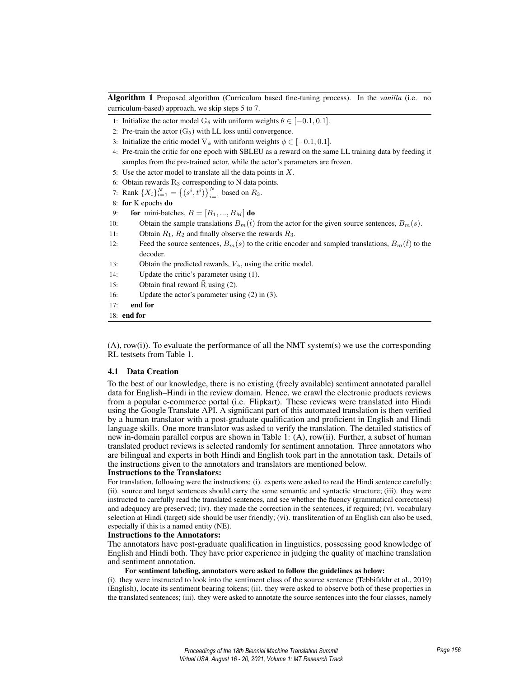Algorithm 1 Proposed algorithm (Curriculum based fine-tuning process). In the *vanilla* (i.e. no curriculum-based) approach, we skip steps 5 to 7.

- 1: Initialize the actor model G<sub>θ</sub> with uniform weights  $\theta \in [-0.1, 0.1]$ .
- 2: Pre-train the actor  $(G_\theta)$  with LL loss until convergence.
- 3: Initialize the critic model V<sub>φ</sub> with uniform weights  $\phi \in [-0.1, 0.1]$ .
- 4: Pre-train the critic for one epoch with SBLEU as a reward on the same LL training data by feeding it samples from the pre-trained actor, while the actor's parameters are frozen.
- 5: Use the actor model to translate all the data points in  $X$ .
- 6: Obtain rewards  $R_3$  corresponding to N data points.
- 7: Rank  $\{X_i\}_{i=1}^N = \{(s^i, t^i)\}_{i=1}^N$  based on  $R_3$ .
- 8: for K epochs do
- 9: **for** mini-batches,  $B = [B_1, ..., B_M]$  **do**
- 10: Obtain the sample translations  $B_m(\hat{t})$  from the actor for the given source sentences,  $B_m(s)$ .
- 11: Obtain  $R_1$ ,  $R_2$  and finally observe the rewards  $R_3$ .
- 12: Feed the source sentences,  $B_m(s)$  to the critic encoder and sampled translations,  $B_m(\hat{t})$  to the decoder.
- 13: Obtain the predicted rewards,  $V_{\phi}$ , using the critic model.
- 14: Update the critic's parameter using (1).
- 15: Obtain final reward  $\bar{R}$  using (2).
- 16: Update the actor's parameter using (2) in (3).

## 17: end for

18: end for

 $(A)$ , row(i)). To evaluate the performance of all the NMT system(s) we use the corresponding RL testsets from Table 1.

#### 4.1 Data Creation

To the best of our knowledge, there is no existing (freely available) sentiment annotated parallel data for English–Hindi in the review domain. Hence, we crawl the electronic products reviews from a popular e-commerce portal (i.e. Flipkart). These reviews were translated into Hindi using the Google Translate API. A significant part of this automated translation is then verified by a human translator with a post-graduate qualification and proficient in English and Hindi language skills. One more translator was asked to verify the translation. The detailed statistics of new in-domain parallel corpus are shown in Table 1: (A), row(ii). Further, a subset of human translated product reviews is selected randomly for sentiment annotation. Three annotators who are bilingual and experts in both Hindi and English took part in the annotation task. Details of the instructions given to the annotators and translators are mentioned below.

#### Instructions to the Translators:

For translation, following were the instructions: (i). experts were asked to read the Hindi sentence carefully; (ii). source and target sentences should carry the same semantic and syntactic structure; (iii). they were instructed to carefully read the translated sentences, and see whether the fluency (grammatical correctness) and adequacy are preserved; (iv). they made the correction in the sentences, if required; (v). vocabulary selection at Hindi (target) side should be user friendly; (vi). transliteration of an English can also be used, especially if this is a named entity (NE).

## Instructions to the Annotators:

The annotators have post-graduate qualification in linguistics, possessing good knowledge of English and Hindi both. They have prior experience in judging the quality of machine translation and sentiment annotation.

## For sentiment labeling, annotators were asked to follow the guidelines as below:

(i). they were instructed to look into the sentiment class of the source sentence (Tebbifakhr et al., 2019) (English), locate its sentiment bearing tokens; (ii). they were asked to observe both of these properties in the translated sentences; (iii). they were asked to annotate the source sentences into the four classes, namely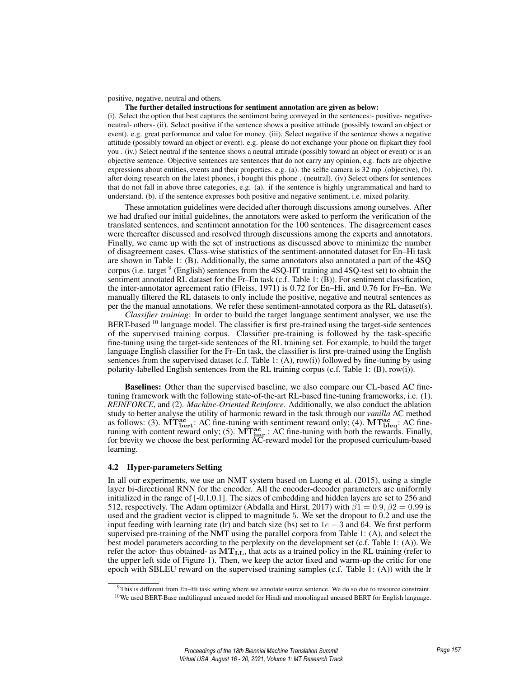positive, negative, neutral and others.

#### The further detailed instructions for sentiment annotation are given as below:

(i). Select the option that best captures the sentiment being conveyed in the sentences:- positive- negativeneutral- others- (ii). Select positive if the sentence shows a positive attitude (possibly toward an object or event). e.g. great performance and value for money. (iii). Select negative if the sentence shows a negative attitude (possibly toward an object or event). e.g. please do not exchange your phone on flipkart they fool you . (iv.) Select neutral if the sentence shows a neutral attitude (possibly toward an object or event) or is an objective sentence. Objective sentences are sentences that do not carry any opinion, e.g. facts are objective expressions about entities, events and their properties. e.g. (a). the selfie camera is 32 mp .(objective), (b). after doing research on the latest phones, i bought this phone . (neutral). (iv) Select others for sentences that do not fall in above three categories, e.g. (a). if the sentence is highly ungrammatical and hard to understand. (b). if the sentence expresses both positive and negative sentiment, i.e. mixed polarity.

These annotation guidelines were decided after thorough discussions among ourselves. After we had drafted our initial guidelines, the annotators were asked to perform the verification of the translated sentences, and sentiment annotation for the 100 sentences. The disagreement cases were thereafter discussed and resolved through discussions among the experts and annotators. Finally, we came up with the set of instructions as discussed above to minimize the number of disagreement cases. Class-wise statistics of the sentiment-annotated dataset for En–Hi task are shown in Table 1: (B). Additionally, the same annotators also annotated a part of the 4SQ corpus (i.e. target <sup>9</sup> (English) sentences from the 4SQ-HT training and 4SQ-test set) to obtain the sentiment annotated RL dataset for the Fr–En task (c.f. Table 1: (B)). For sentiment classification, the inter-annotator agreement ratio (Fleiss, 1971) is 0.72 for En–Hi, and 0.76 for Fr–En. We manually filtered the RL datasets to only include the positive, negative and neutral sentences as per the the manual annotations. We refer these sentiment-annotated corpora as the RL dataset(s).

*Classifier training*: In order to build the target language sentiment analyser, we use the BERT-based  $10$  language model. The classifier is first pre-trained using the target-side sentences of the supervised training corpus. Classifier pre-training is followed by the task-specific fine-tuning using the target-side sentences of the RL training set. For example, to build the target language English classifier for the Fr–En task, the classifier is first pre-trained using the English sentences from the supervised dataset (c.f. Table 1: (A), row(i)) followed by fine-tuning by using polarity-labelled English sentences from the RL training corpus (c.f. Table 1: (B), row(i)).

Baselines: Other than the supervised baseline, we also compare our CL-based AC finetuning framework with the following state-of-the-art RL-based fine-tuning frameworks, i.e. (1). *REINFORCE*, and (2). *Machine-Oriented Reinforce*. Additionally, we also conduct the ablation study to better analyse the utility of harmonic reward in the task through our *vanilla* AC method as follows: (3).  $MT_{bert}^{ac}$ : AC fine-tuning with sentiment reward only; (4).  $MT_{bleu}^{ac}$ : AC finetuning with content reward only; (5).  $\widehat{MT}_{\text{har}}^{\text{ac}}$  : AC fine-tuning with both the rewards. Finally, for brevity we choose the best performing AC-reward model for the proposed curriculum-based learning.

#### 4.2 Hyper-parameters Setting

In all our experiments, we use an NMT system based on Luong et al. (2015), using a single layer bi-directional RNN for the encoder. All the encoder-decoder parameters are uniformly initialized in the range of [-0.1,0.1]. The sizes of embedding and hidden layers are set to 256 and 512, respectively. The Adam optimizer (Abdalla and Hirst, 2017) with  $\beta_1 = 0.9$ ,  $\beta_2 = 0.99$  is used and the gradient vector is clipped to magnitude 5. We set the dropout to 0.2 and use the input feeding with learning rate (lr) and batch size (bs) set to  $1e - 3$  and 64. We first perform supervised pre-training of the NMT using the parallel corpora from Table 1: (A), and select the best model parameters according to the perplexity on the development set (c.f. Table 1: (A)). We refer the actor- thus obtained- as  $MT_{LL}$ , that acts as a trained policy in the RL training (refer to the upper left side of Figure 1). Then, we keep the actor fixed and warm-up the critic for one epoch with SBLEU reward on the supervised training samples (c.f. Table 1: (A)) with the lr

<sup>9</sup>This is different from En–Hi task setting where we annotate source sentence. We do so due to resource constraint.  $10$ We used BERT-Base multilingual uncased model for Hindi and monolingual uncased BERT for English language.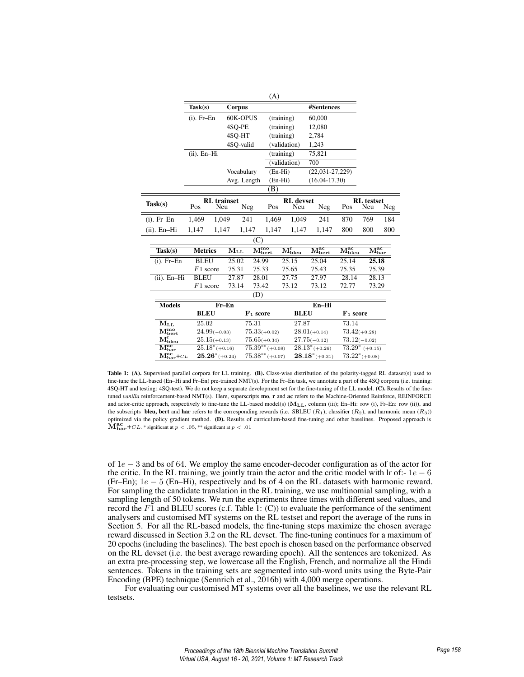|                                                  | (A)                                     |             |                                     |              |                                                                         |                   |                                     |                                                  |     |
|--------------------------------------------------|-----------------------------------------|-------------|-------------------------------------|--------------|-------------------------------------------------------------------------|-------------------|-------------------------------------|--------------------------------------------------|-----|
|                                                  | Task(s)                                 | Corpus      |                                     |              | #Sentences                                                              |                   |                                     |                                                  |     |
|                                                  | $(i)$ . Fr-En                           | 60K-OPUS    |                                     | (training)   |                                                                         | 60,000            |                                     |                                                  |     |
|                                                  |                                         |             | 4SQ-PE                              |              | (training)                                                              | 12,080            |                                     |                                                  |     |
|                                                  |                                         |             | 4SO-HT                              |              | (training)                                                              | 2,784             |                                     |                                                  |     |
|                                                  |                                         | 4SO-valid   |                                     |              | (validation)                                                            | 1,243             |                                     |                                                  |     |
|                                                  | $(ii)$ . En-Hi                          |             |                                     | (training)   |                                                                         | 75,821            |                                     |                                                  |     |
|                                                  |                                         |             |                                     | (validation) |                                                                         | 700               |                                     |                                                  |     |
|                                                  |                                         | Vocabulary  |                                     | $(En-Hi)$    |                                                                         | $(22,031-27,229)$ |                                     |                                                  |     |
|                                                  |                                         | Avg. Length |                                     |              | $(En-Hi)$<br>$(16.04 - 17.30)$                                          |                   |                                     |                                                  |     |
|                                                  |                                         |             |                                     | (B)          |                                                                         |                   |                                     |                                                  |     |
| Task(s)                                          | <b>RL</b> trainset<br>Pos<br>Neu<br>Neg |             |                                     | Pos          | <b>RL</b> devset<br>Neu                                                 | Neg               | Pos                                 | <b>RL</b> testset<br>Neu                         | Neg |
| $(i)$ . Fr-En                                    | 1,469                                   | 1,049       | 241                                 | 1,469        | 1,049                                                                   | 241               | 870                                 | 769                                              | 184 |
| $(ii)$ . En-Hi                                   | 1,147                                   | 1,147       | 1,147                               | 1,147        | 1,147                                                                   | 1,147             | 800                                 | 800                                              | 800 |
| (C)                                              |                                         |             |                                     |              |                                                                         |                   |                                     |                                                  |     |
| Task(s)                                          | <b>Metrics</b><br>$\rm M_{LL}$          |             | $\overline{\mathrm{M_{bert}^{mo}}}$ |              | $\overline{\mathrm{M}_\mathrm{bert}^\mathrm{ac}}$<br>$\rm M_{bleu}^{r}$ |                   | $\overline{\mathrm{M_{bleu}^{ac}}}$ | $\overline{\mathrm{M}_\mathrm{har}^\mathrm{ac}}$ |     |
| $(i)$ . Fr-En                                    | <b>BLEU</b>                             | 25.02       |                                     | 24.99        | 25.15                                                                   | 25.04             | 25.14                               | 25.18                                            |     |
|                                                  | $F1$ score                              | 75.31       |                                     | 75.33        | 75.65                                                                   | 75.43             | 75.35                               | 75.39                                            |     |
| $(ii)$ . En-Hi                                   | <b>BLEU</b>                             | 27.87       |                                     | 28.01        | 27.75                                                                   | 27.97             | 28.14                               | 28.13                                            |     |
|                                                  | $F1$ score                              | 73.14       | 73.42                               |              | 73.12                                                                   | 73.12             | 72.77                               | 73.29                                            |     |
| (D)                                              |                                         |             |                                     |              |                                                                         |                   |                                     |                                                  |     |
| <b>Models</b>                                    | $Fr-En$                                 |             |                                     | $En-Hi$      |                                                                         |                   |                                     |                                                  |     |
|                                                  | <b>BLEU</b>                             |             | $F_1$ score                         | <b>BLEU</b>  |                                                                         | $F_1$ score       |                                     |                                                  |     |
| $\rm M_{LL}$                                     | 25.02                                   |             | 75.31                               |              | 27.87                                                                   |                   | 73.14                               |                                                  |     |
| $\mathbf{M_{bert}^{mo}}$                         | $24.99(-0.03)$                          |             | $75.33(+0.02)$                      |              | $28.01(+0.14)$                                                          |                   | $73.42(+0.28)$                      |                                                  |     |
| $\mathbf{M}^{\text{r}}_{\text{bleu}}$            | $25.15(+0.13)$                          |             | $75.65(+0.34)$                      |              |                                                                         | $27.75(-0.12)$    |                                     | $73.12(-0.02)$                                   |     |
| $\overline{\mathrm{M}_\mathrm{har}^\mathrm{ac}}$ | $25.18^*$ (+0.16)                       |             | $75.39^{**} (+0.08)$                |              |                                                                         | $28.13^*$ (+0.26) |                                     | $73.29^*$ (+0.15)                                |     |
| $M_{\rm har}^{\rm ac}$ + $CL$                    | $25.26^*$ (+0.24)                       |             | $75.38^{**}$ (+0.07)                |              |                                                                         | $28.18^*$ (+0.31) |                                     | $73.22^*$ (+0.08)                                |     |

 $(4)$ 

Table 1: (A). Supervised parallel corpora for LL training. (B). Class-wise distribution of the polarity-tagged RL dataset(s) used to fine-tune the LL-based (En–Hi and Fr–En) pre-trained NMT(s). For the Fr–En task, we annotate a part of the 4SQ corpora (i.e. training: 4SQ-HT and testing: 4SQ-test). We do not keep a separate development set for the fine-tuning of the LL model. (C). Results of the finetuned *vanilla* reinforcement-based NMT(s). Here, superscripts mo, r and ac refers to the Machine-Oriented Reinforce, REINFORCE and actor-critic approach, respectively to fine-tune the LL-based model(s) ( $M_{LL}$ , column (iii); En–Hi: row (i), Fr–En: row (ii)), and the subscripts **bleu, bert** and **har** refers to the corresponding rewards (i.e. SBLEU  $(R_1)$ , classifier  $(R_2)$ ), and harmonic mean  $(R_3)$ ) optimized via the policy gradient method. (D). Results of curriculum-based fine-tuning and other baselines. Proposed approach is  $\mathbf{\dot{M}_{har}^{ac}}$  + CL. \* significant at  $p < .05$ , \*\* significant at  $p < .01$ 

of 1e − 3 and bs of 64. We employ the same encoder-decoder configuration as of the actor for the critic. In the RL training, we jointly train the actor and the critic model with lr of:-  $1e - 6$ (Fr–En);  $1e - 5$  (En–Hi), respectively and bs of 4 on the RL datasets with harmonic reward. For sampling the candidate translation in the RL training, we use multinomial sampling, with a sampling length of 50 tokens. We run the experiments three times with different seed values, and record the  $F1$  and BLEU scores (c.f. Table 1: (C)) to evaluate the performance of the sentiment analysers and customised MT systems on the RL testset and report the average of the runs in Section 5. For all the RL-based models, the fine-tuning steps maximize the chosen average reward discussed in Section 3.2 on the RL devset. The fine-tuning continues for a maximum of 20 epochs (including the baselines). The best epoch is chosen based on the performance observed on the RL devset (i.e. the best average rewarding epoch). All the sentences are tokenized. As an extra pre-processing step, we lowercase all the English, French, and normalize all the Hindi sentences. Tokens in the training sets are segmented into sub-word units using the Byte-Pair Encoding (BPE) technique (Sennrich et al., 2016b) with 4,000 merge operations.

For evaluating our customised MT systems over all the baselines, we use the relevant RL testsets.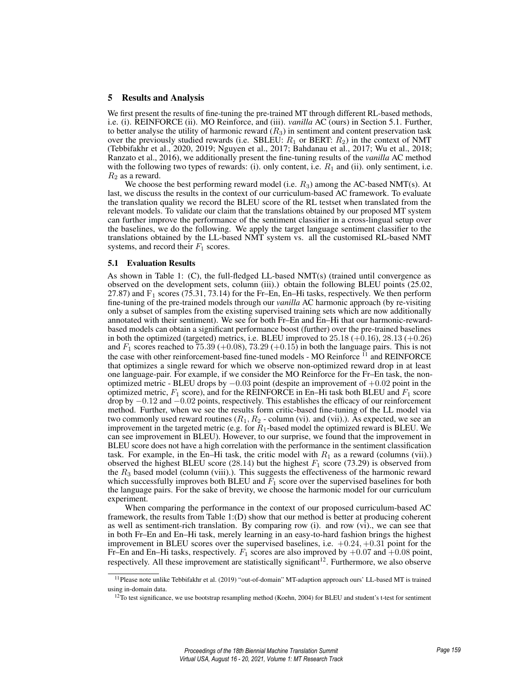# 5 Results and Analysis

We first present the results of fine-tuning the pre-trained MT through different RL-based methods, i.e. (i). REINFORCE (ii). MO Reinforce, and (iii). *vanilla* AC (ours) in Section 5.1. Further, to better analyse the utility of harmonic reward  $(R_3)$  in sentiment and content preservation task over the previously studied rewards (i.e. SBLEU:  $R_1$  or BERT:  $R_2$ ) in the context of NMT (Tebbifakhr et al., 2020, 2019; Nguyen et al., 2017; Bahdanau et al., 2017; Wu et al., 2018; Ranzato et al., 2016), we additionally present the fine-tuning results of the *vanilla* AC method with the following two types of rewards: (i). only content, i.e.  $R_1$  and (ii). only sentiment, i.e.  $R_2$  as a reward.

We choose the best performing reward model (i.e.  $R_3$ ) among the AC-based NMT(s). At last, we discuss the results in the context of our curriculum-based AC framework. To evaluate the translation quality we record the BLEU score of the RL testset when translated from the relevant models. To validate our claim that the translations obtained by our proposed MT system can further improve the performance of the sentiment classifier in a cross-lingual setup over the baselines, we do the following. We apply the target language sentiment classifier to the translations obtained by the LL-based NMT system vs. all the customised RL-based NMT systems, and record their  $F_1$  scores.

## 5.1 Evaluation Results

As shown in Table 1: (C), the full-fledged LL-based NMT(s) (trained until convergence as observed on the development sets, column (iii).) obtain the following BLEU points (25.02, 27.87) and  $F_1$  scores (75.31, 73.14) for the Fr-En, En–Hi tasks, respectively. We then perform fine-tuning of the pre-trained models through our *vanilla* AC harmonic approach (by re-visiting only a subset of samples from the existing supervised training sets which are now additionally annotated with their sentiment). We see for both Fr–En and En–Hi that our harmonic-rewardbased models can obtain a significant performance boost (further) over the pre-trained baselines in both the optimized (targeted) metrics, i.e. BLEU improved to  $25.18 (+0.16)$ ,  $28.13 (+0.26)$ and  $F_1$  scores reached to 75.39 (+0.08), 73.29 (+0.15) in both the language pairs. This is not the case with other reinforcement-based fine-tuned models - MO Reinforce <sup>11</sup> and REINFORCE that optimizes a single reward for which we observe non-optimized reward drop in at least one language-pair. For example, if we consider the MO Reinforce for the Fr–En task, the nonoptimized metric - BLEU drops by  $-0.03$  point (despite an improvement of  $+0.02$  point in the optimized metric,  $F_1$  score), and for the REINFORCE in En–Hi task both BLEU and  $F_1$  score drop by −0.12 and −0.02 points, respectively. This establishes the efficacy of our reinforcement method. Further, when we see the results form critic-based fine-tuning of the LL model via two commonly used reward routines  $(R_1, R_2$  - column (vi). and (vii).). As expected, we see an improvement in the targeted metric (e.g. for  $R_1$ -based model the optimized reward is BLEU. We can see improvement in BLEU). However, to our surprise, we found that the improvement in BLEU score does not have a high correlation with the performance in the sentiment classification task. For example, in the En–Hi task, the critic model with  $R_1$  as a reward (columns (vii).) observed the highest BLEU score (28.14) but the highest  $F_1$  score (73.29) is observed from the  $R_3$  based model (column (viii).). This suggests the effectiveness of the harmonic reward which successfully improves both BLEU and  $F_1$  score over the supervised baselines for both the language pairs. For the sake of brevity, we choose the harmonic model for our curriculum experiment.

When comparing the performance in the context of our proposed curriculum-based AC framework, the results from Table 1:(D) show that our method is better at producing coherent as well as sentiment-rich translation. By comparing row (i). and row (vi)., we can see that in both Fr–En and En–Hi task, merely learning in an easy-to-hard fashion brings the highest improvement in BLEU scores over the supervised baselines, i.e.  $+0.24, +0.31$  point for the Fr–En and En–Hi tasks, respectively.  $F_1$  scores are also improved by  $+0.07$  and  $+0.08$  point, respectively. All these improvement are statistically significant<sup>12</sup>. Furthermore, we also observe

<sup>&</sup>lt;sup>11</sup> Please note unlike Tebbifakhr et al. (2019) "out-of-domain" MT-adaption approach ours' LL-based MT is trained using in-domain data.

<sup>&</sup>lt;sup>12</sup>To test significance, we use bootstrap resampling method (Koehn, 2004) for BLEU and student's t-test for sentiment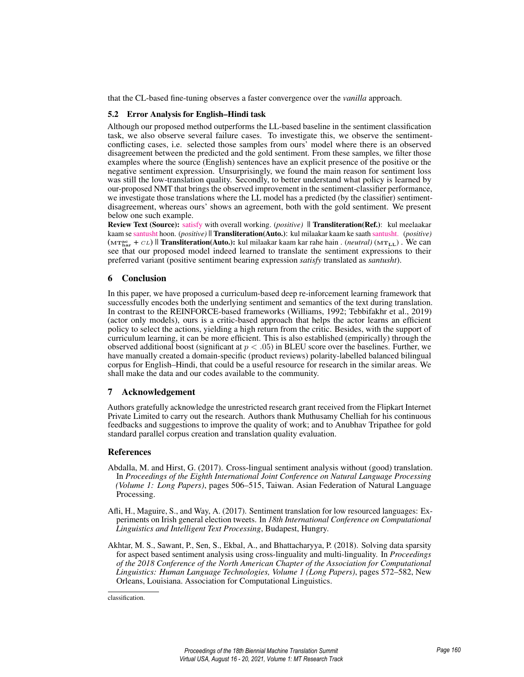that the CL-based fine-tuning observes a faster convergence over the *vanilla* approach.

## 5.2 Error Analysis for English–Hindi task

Although our proposed method outperforms the LL-based baseline in the sentiment classification task, we also observe several failure cases. To investigate this, we observe the sentimentconflicting cases, i.e. selected those samples from ours' model where there is an observed disagreement between the predicted and the gold sentiment. From these samples, we filter those examples where the source (English) sentences have an explicit presence of the positive or the negative sentiment expression. Unsurprisingly, we found the main reason for sentiment loss was still the low-translation quality. Secondly, to better understand what policy is learned by our-proposed NMT that brings the observed improvement in the sentiment-classifier performance, we investigate those translations where the LL model has a predicted (by the classifier) sentimentdisagreement, whereas ours' shows an agreement, both with the gold sentiment. We present below one such example.

Review Text (Source): satisfy with overall working. (*positive)* || Transliteration(Ref.): kul meelaakar kaam se santusht hoon. (*positive)* || Transliteration(Auto.): kul milaakar kaam ke saath santusht. (*positive)*  $(m_{\text{har}} + c_L)$  || **Transliteration**(Auto.): kul milaakar kaam kar rahe hain . *(neutral)* ( $m_{\text{LL}}$ ) . We can see that our proposed model indeed learned to translate the sentiment expressions to their preferred variant (positive sentiment bearing expression *satisfy* translated as *santusht*).

# 6 Conclusion

In this paper, we have proposed a curriculum-based deep re-inforcement learning framework that successfully encodes both the underlying sentiment and semantics of the text during translation. In contrast to the REINFORCE-based frameworks (Williams, 1992; Tebbifakhr et al., 2019) (actor only models), ours is a critic-based approach that helps the actor learns an efficient policy to select the actions, yielding a high return from the critic. Besides, with the support of curriculum learning, it can be more efficient. This is also established (empirically) through the observed additional boost (significant at  $p < .05$ ) in BLEU score over the baselines. Further, we have manually created a domain-specific (product reviews) polarity-labelled balanced bilingual corpus for English–Hindi, that could be a useful resource for research in the similar areas. We shall make the data and our codes available to the community.

# 7 Acknowledgement

Authors gratefully acknowledge the unrestricted research grant received from the Flipkart Internet Private Limited to carry out the research. Authors thank Muthusamy Chelliah for his continuous feedbacks and suggestions to improve the quality of work; and to Anubhav Tripathee for gold standard parallel corpus creation and translation quality evaluation.

# References

- Abdalla, M. and Hirst, G. (2017). Cross-lingual sentiment analysis without (good) translation. In *Proceedings of the Eighth International Joint Conference on Natural Language Processing (Volume 1: Long Papers)*, pages 506–515, Taiwan. Asian Federation of Natural Language Processing.
- Afli, H., Maguire, S., and Way, A. (2017). Sentiment translation for low resourced languages: Experiments on Irish general election tweets. In *18th International Conference on Computational Linguistics and Intelligent Text Processing*, Budapest, Hungry.
- Akhtar, M. S., Sawant, P., Sen, S., Ekbal, A., and Bhattacharyya, P. (2018). Solving data sparsity for aspect based sentiment analysis using cross-linguality and multi-linguality. In *Proceedings of the 2018 Conference of the North American Chapter of the Association for Computational Linguistics: Human Language Technologies, Volume 1 (Long Papers)*, pages 572–582, New Orleans, Louisiana. Association for Computational Linguistics.

classification.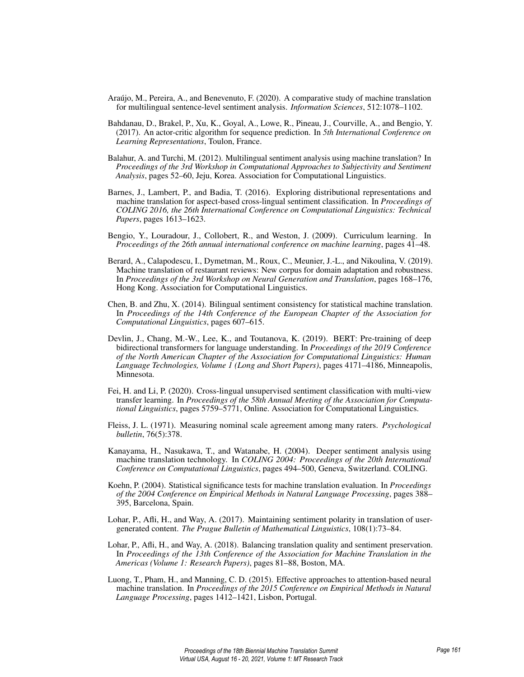- Araújo, M., Pereira, A., and Benevenuto, F. (2020). A comparative study of machine translation for multilingual sentence-level sentiment analysis. *Information Sciences*, 512:1078–1102.
- Bahdanau, D., Brakel, P., Xu, K., Goyal, A., Lowe, R., Pineau, J., Courville, A., and Bengio, Y. (2017). An actor-critic algorithm for sequence prediction. In *5th International Conference on Learning Representations*, Toulon, France.
- Balahur, A. and Turchi, M. (2012). Multilingual sentiment analysis using machine translation? In *Proceedings of the 3rd Workshop in Computational Approaches to Subjectivity and Sentiment Analysis*, pages 52–60, Jeju, Korea. Association for Computational Linguistics.
- Barnes, J., Lambert, P., and Badia, T. (2016). Exploring distributional representations and machine translation for aspect-based cross-lingual sentiment classification. In *Proceedings of COLING 2016, the 26th International Conference on Computational Linguistics: Technical Papers*, pages 1613–1623.
- Bengio, Y., Louradour, J., Collobert, R., and Weston, J. (2009). Curriculum learning. In *Proceedings of the 26th annual international conference on machine learning*, pages 41–48.
- Berard, A., Calapodescu, I., Dymetman, M., Roux, C., Meunier, J.-L., and Nikoulina, V. (2019). Machine translation of restaurant reviews: New corpus for domain adaptation and robustness. In *Proceedings of the 3rd Workshop on Neural Generation and Translation*, pages 168–176, Hong Kong. Association for Computational Linguistics.
- Chen, B. and Zhu, X. (2014). Bilingual sentiment consistency for statistical machine translation. In *Proceedings of the 14th Conference of the European Chapter of the Association for Computational Linguistics*, pages 607–615.
- Devlin, J., Chang, M.-W., Lee, K., and Toutanova, K. (2019). BERT: Pre-training of deep bidirectional transformers for language understanding. In *Proceedings of the 2019 Conference of the North American Chapter of the Association for Computational Linguistics: Human Language Technologies, Volume 1 (Long and Short Papers)*, pages 4171–4186, Minneapolis, Minnesota.
- Fei, H. and Li, P. (2020). Cross-lingual unsupervised sentiment classification with multi-view transfer learning. In *Proceedings of the 58th Annual Meeting of the Association for Computational Linguistics*, pages 5759–5771, Online. Association for Computational Linguistics.
- Fleiss, J. L. (1971). Measuring nominal scale agreement among many raters. *Psychological bulletin*, 76(5):378.
- Kanayama, H., Nasukawa, T., and Watanabe, H. (2004). Deeper sentiment analysis using machine translation technology. In *COLING 2004: Proceedings of the 20th International Conference on Computational Linguistics*, pages 494–500, Geneva, Switzerland. COLING.
- Koehn, P. (2004). Statistical significance tests for machine translation evaluation. In *Proceedings of the 2004 Conference on Empirical Methods in Natural Language Processing*, pages 388– 395, Barcelona, Spain.
- Lohar, P., Afli, H., and Way, A. (2017). Maintaining sentiment polarity in translation of usergenerated content. *The Prague Bulletin of Mathematical Linguistics*, 108(1):73–84.
- Lohar, P., Afli, H., and Way, A. (2018). Balancing translation quality and sentiment preservation. In *Proceedings of the 13th Conference of the Association for Machine Translation in the Americas (Volume 1: Research Papers)*, pages 81–88, Boston, MA.
- Luong, T., Pham, H., and Manning, C. D. (2015). Effective approaches to attention-based neural machine translation. In *Proceedings of the 2015 Conference on Empirical Methods in Natural Language Processing*, pages 1412–1421, Lisbon, Portugal.